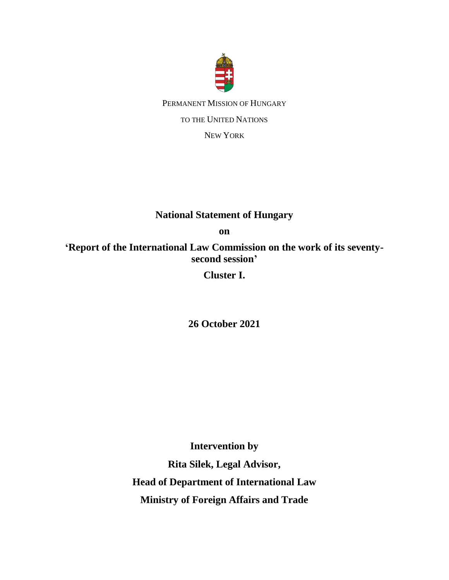

PERMANENT MISSION OF HUNGARY TO THE UNITED NATIONS NEW YORK

## **National Statement of Hungary**

**on** 

**'Report of the International Law Commission on the work of its seventysecond session'**

**Cluster I.**

**26 October 2021**

**Intervention by Rita Silek, Legal Advisor, Head of Department of International Law Ministry of Foreign Affairs and Trade**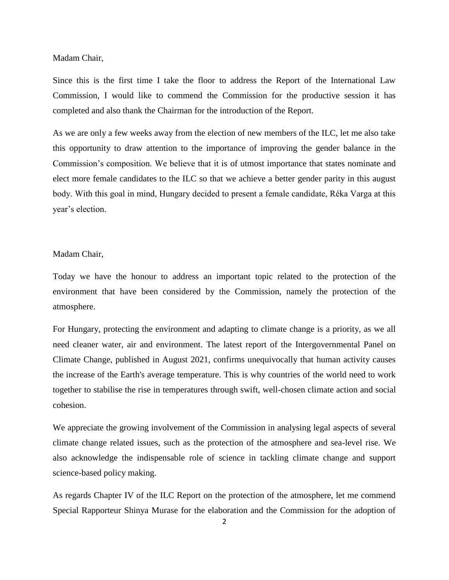Madam Chair,

Since this is the first time I take the floor to address the Report of the International Law Commission, I would like to commend the Commission for the productive session it has completed and also thank the Chairman for the introduction of the Report.

As we are only a few weeks away from the election of new members of the ILC, let me also take this opportunity to draw attention to the importance of improving the gender balance in the Commission's composition. We believe that it is of utmost importance that states nominate and elect more female candidates to the ILC so that we achieve a better gender parity in this august body. With this goal in mind, Hungary decided to present a female candidate, Réka Varga at this year's election.

## Madam Chair,

Today we have the honour to address an important topic related to the protection of the environment that have been considered by the Commission, namely the protection of the atmosphere.

For Hungary, protecting the environment and adapting to climate change is a priority, as we all need cleaner water, air and environment. The latest report of the Intergovernmental Panel on Climate Change, published in August 2021, confirms unequivocally that human activity causes the increase of the Earth's average temperature. This is why countries of the world need to work together to stabilise the rise in temperatures through swift, well-chosen climate action and social cohesion.

We appreciate the growing involvement of the Commission in analysing legal aspects of several climate change related issues, such as the protection of the atmosphere and sea-level rise. We also acknowledge the indispensable role of science in tackling climate change and support science-based policy making.

As regards Chapter IV of the ILC Report on the protection of the atmosphere, let me commend Special Rapporteur Shinya Murase for the elaboration and the Commission for the adoption of